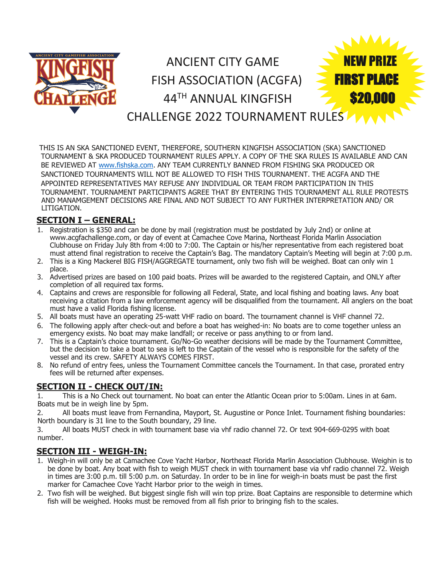

THIS IS AN SKA SANCTIONED EVENT, THEREFORE, SOUTHERN KINGFISH ASSOCIATION (SKA) SANCTIONED TOURNAMENT & SKA PRODUCED TOURNAMENT RULES APPLY. A COPY OF THE SKA RULES IS AVAILABLE AND CAN BE REVIEWED AT [www.fishska.com.](http://www.fishska.com/) ANY TEAM CURRENTLY BANNED FROM FISHING SKA PRODUCED OR SANCTIONED TOURNAMENTS WILL NOT BE ALLOWED TO FISH THIS TOURNAMENT. THE ACGFA AND THE APPOINTED REPRESENTATIVES MAY REFUSE ANY INDIVIDUAL OR TEAM FROM PARTICIPATION IN THIS TOURNAMENT. TOURNAMENT PARTICIPANTS AGREE THAT BY ENTERING THIS TOURNAMENT ALL RULE PROTESTS AND MANAMGEMENT DECISIONS ARE FINAL AND NOT SUBJECT TO ANY FURTHER INTERPRETATION AND/ OR LITIGATION.

## **SECTION I – GENERAL:**

- 1. Registration is \$350 and can be done by mail (registration must be postdated by July 2nd) or online at www.acgfachallenge.com, or day of event at Camachee Cove Marina, Northeast Florida Marlin Association Clubhouse on Friday July 8th from 4:00 to 7:00. The Captain or his/her representative from each registered boat must attend final registration to receive the Captain's Bag. The mandatory Captain's Meeting will begin at 7:00 p.m.
- 2. This is a King Mackerel BIG FISH/AGGREGATE tournament, only two fish will be weighed. Boat can only win 1 place.
- 3. Advertised prizes are based on 100 paid boats. Prizes will be awarded to the registered Captain, and ONLY after completion of all required tax forms.
- 4. Captains and crews are responsible for following all Federal, State, and local fishing and boating laws. Any boat receiving a citation from a law enforcement agency will be disqualified from the tournament. All anglers on the boat must have a valid Florida fishing license.
- 5. All boats must have an operating 25-watt VHF radio on board. The tournament channel is VHF channel 72.
- 6. The following apply after check-out and before a boat has weighed-in: No boats are to come together unless an emergency exists. No boat may make landfall; or receive or pass anything to or from land.
- 7. This is a Captain's choice tournament. Go/No-Go weather decisions will be made by the Tournament Committee, but the decision to take a boat to sea is left to the Captain of the vessel who is responsible for the safety of the vessel and its crew. SAFETY ALWAYS COMES FIRST.
- 8. No refund of entry fees, unless the Tournament Committee cancels the Tournament. In that case, prorated entry fees will be returned after expenses.

## **SECTION II - CHECK OUT/IN:**

1. This is a No Check out tournament. No boat can enter the Atlantic Ocean prior to 5:00am. Lines in at 6am. Boats mut be in weigh line by 5pm.

2. All boats must leave from Fernandina, Mayport, St. Augustine or Ponce Inlet. Tournament fishing boundaries: North boundary is 31 line to the South boundary, 29 line.

3. All boats MUST check in with tournament base via vhf radio channel 72. Or text 904-669-0295 with boat number.

## **SECTION III - WEIGH-IN:**

- 1. Weigh-in will only be at Camachee Cove Yacht Harbor, Northeast Florida Marlin Association Clubhouse. Weighin is to be done by boat. Any boat with fish to weigh MUST check in with tournament base via vhf radio channel 72. Weigh in times are 3:00 p.m. till 5:00 p.m. on Saturday. In order to be in line for weigh-in boats must be past the first marker for Camachee Cove Yacht Harbor prior to the weigh in times.
- 2. Two fish will be weighed. But biggest single fish will win top prize. Boat Captains are responsible to determine which fish will be weighed. Hooks must be removed from all fish prior to bringing fish to the scales.